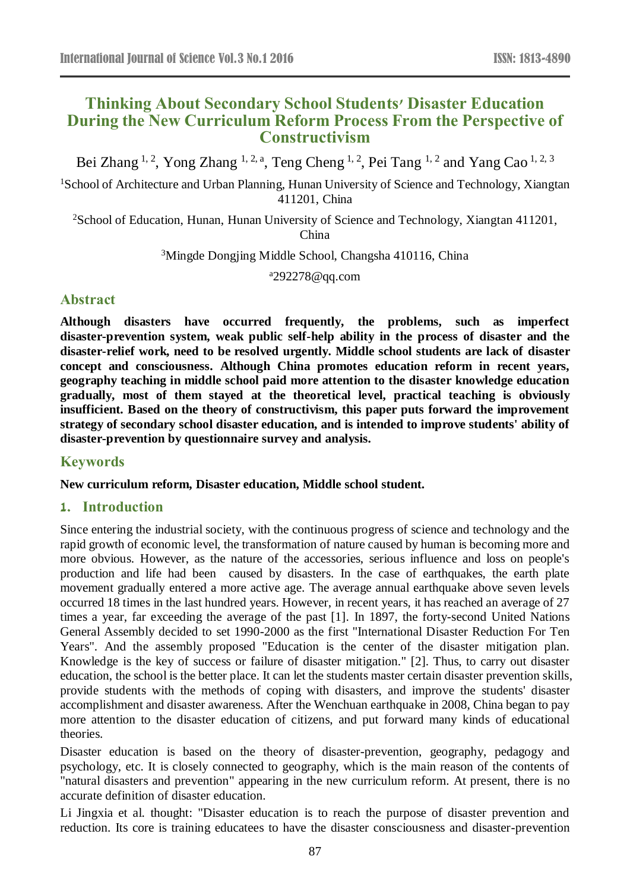# **Thinking About Secondary School Students' Disaster Education During the New Curriculum Reform Process From the Perspective of Constructivism**

Bei Zhang <sup>1, 2</sup>, Yong Zhang <sup>1, 2, a</sup>, Teng Cheng <sup>1, 2</sup>, Pei Tang <sup>1, 2</sup> and Yang Cao <sup>1, 2, 3</sup>

<sup>1</sup>School of Architecture and Urban Planning, Hunan University of Science and Technology, Xiangtan 411201, China

<sup>2</sup>School of Education, Hunan, Hunan University of Science and Technology, Xiangtan 411201, China

<sup>3</sup>Mingde Dongjing Middle School, Changsha 410116, China

<sup>a</sup>292278@qq.com

## **Abstract**

**Although disasters have occurred frequently, the problems, such as imperfect disaster-prevention system, weak public self-help ability in the process of disaster and the disaster-relief work, need to be resolved urgently. Middle school students are lack of disaster concept and consciousness. Although China promotes education reform in recent years, geography teaching in middle school paid more attention to the disaster knowledge education gradually, most of them stayed at the theoretical level, practical teaching is obviously insufficient. Based on the theory of constructivism, this paper puts forward the improvement strategy of secondary school disaster education, and is intended to improve students' ability of disaster-prevention by questionnaire survey and analysis.**

## **Keywords**

#### **New curriculum reform, Disaster education, Middle school student.**

## **1. Introduction**

Since entering the industrial society, with the continuous progress of science and technology and the rapid growth of economic level, the transformation of nature caused by human is becoming more and more obvious. However, as the nature of the accessories, serious influence and loss on people's production and life had been caused by disasters. In the case of earthquakes, the earth plate movement gradually entered a more active age. The average annual earthquake above seven levels occurred 18 times in the last hundred years. However, in recent years, it has reached an average of 27 times a year, far exceeding the average of the past [1]. In 1897, the forty-second United Nations General Assembly decided to set 1990-2000 as the first "International Disaster Reduction For Ten Years". And the assembly proposed "Education is the center of the disaster mitigation plan. Knowledge is the key of success or failure of disaster mitigation." [2]. Thus, to carry out disaster education, the school is the better place. It can let the students master certain disaster prevention skills, provide students with the methods of coping with disasters, and improve the students' disaster accomplishment and disaster awareness. After the Wenchuan earthquake in 2008, China began to pay more attention to the disaster education of citizens, and put forward many kinds of educational theories.

Disaster education is based on the theory of disaster-prevention, geography, pedagogy and psychology, etc. It is closely connected to geography, which is the main reason of the contents of "natural disasters and prevention" appearing in the new curriculum reform. At present, there is no accurate definition of disaster education.

Li Jingxia et al. thought: "Disaster education is to reach the purpose of disaster prevention and reduction. Its core is training educatees to have the disaster consciousness and disaster-prevention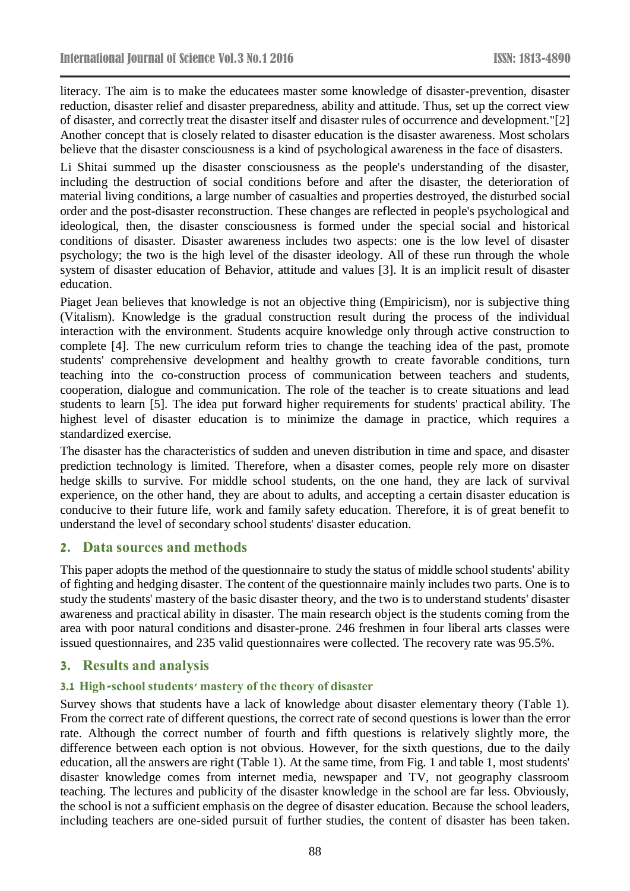literacy. The aim is to make the educatees master some knowledge of disaster-prevention, disaster reduction, disaster relief and disaster preparedness, ability and attitude. Thus, set up the correct view of disaster, and correctly treat the disaster itself and disaster rules of occurrence and development."[2] Another concept that is closely related to disaster education is the disaster awareness. Most scholars believe that the disaster consciousness is a kind of psychological awareness in the face of disasters.

Li Shitai summed up the disaster consciousness as the people's understanding of the disaster, including the destruction of social conditions before and after the disaster, the deterioration of material living conditions, a large number of casualties and properties destroyed, the disturbed social order and the post-disaster reconstruction. These changes are reflected in people's psychological and ideological, then, the disaster consciousness is formed under the special social and historical conditions of disaster. Disaster awareness includes two aspects: one is the low level of disaster psychology; the two is the high level of the disaster ideology. All of these run through the whole system of disaster education of Behavior, attitude and values [3]. It is an implicit result of disaster education.

Piaget Jean believes that knowledge is not an objective thing (Empiricism), nor is subjective thing (Vitalism). Knowledge is the gradual construction result during the process of the individual interaction with the environment. Students acquire knowledge only through active construction to complete [4]. The new curriculum reform tries to change the teaching idea of the past, promote students' comprehensive development and healthy growth to create favorable conditions, turn teaching into the co-construction process of communication between teachers and students, cooperation, dialogue and communication. The role of the teacher is to create situations and lead students to learn [5]. The idea put forward higher requirements for students' practical ability. The highest level of disaster education is to minimize the damage in practice, which requires a standardized exercise.

The disaster has the characteristics of sudden and uneven distribution in time and space, and disaster prediction technology is limited. Therefore, when a disaster comes, people rely more on disaster hedge skills to survive. For middle school students, on the one hand, they are lack of survival experience, on the other hand, they are about to adults, and accepting a certain disaster education is conducive to their future life, work and family safety education. Therefore, it is of great benefit to understand the level of secondary school students' disaster education.

## **2. Data sources and methods**

This paper adopts the method of the questionnaire to study the status of middle school students' ability of fighting and hedging disaster. The content of the questionnaire mainly includes two parts. One is to study the students' mastery of the basic disaster theory, and the two is to understand students' disaster awareness and practical ability in disaster. The main research object is the students coming from the area with poor natural conditions and disaster-prone. 246 freshmen in four liberal arts classes were issued questionnaires, and 235 valid questionnaires were collected. The recovery rate was 95.5%.

#### **3. Results and analysis**

#### **3.1 High-school students' mastery of the theory of disaster**

Survey shows that students have a lack of knowledge about disaster elementary theory (Table 1). From the correct rate of different questions, the correct rate of second questions is lower than the error rate. Although the correct number of fourth and fifth questions is relatively slightly more, the difference between each option is not obvious. However, for the sixth questions, due to the daily education, all the answers are right (Table 1). At the same time, from Fig. 1 and table 1, most students' disaster knowledge comes from internet media, newspaper and TV, not geography classroom teaching. The lectures and publicity of the disaster knowledge in the school are far less. Obviously, the school is not a sufficient emphasis on the degree of disaster education. Because the school leaders, including teachers are one-sided pursuit of further studies, the content of disaster has been taken.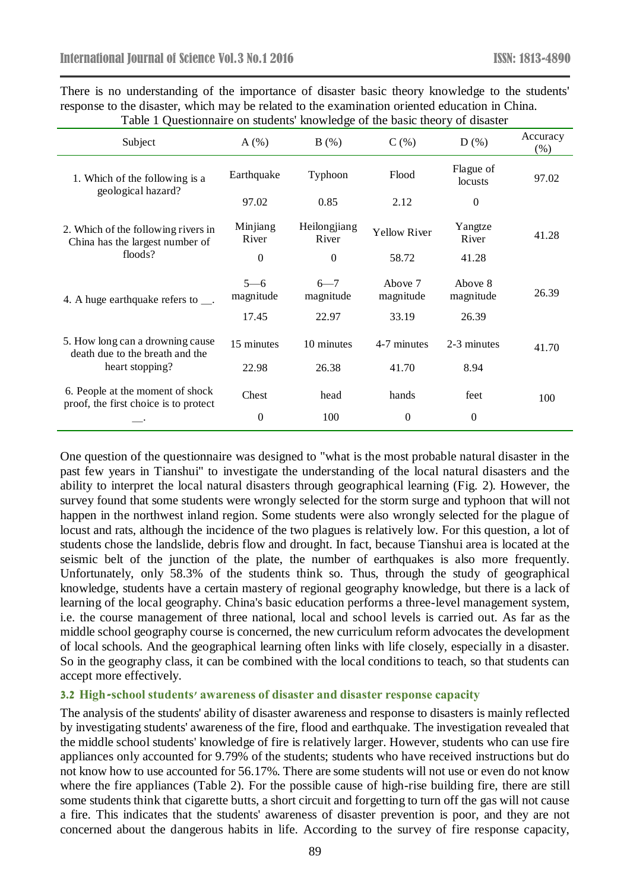There is no understanding of the importance of disaster basic theory knowledge to the students' response to the disaster, which may be related to the examination oriented education in China. Table 1 Questionnaire on students' knowledge of the basic theory of disaster

| Subject                                                                                | A(%)                 | B(%)                  | $C($ %)              | D(%)                 | Accuracy<br>$(\%)$ |
|----------------------------------------------------------------------------------------|----------------------|-----------------------|----------------------|----------------------|--------------------|
| 1. Which of the following is a<br>geological hazard?                                   | Earthquake           | Typhoon               | Flood                | Flague of<br>locusts | 97.02              |
|                                                                                        | 97.02                | 0.85                  | 2.12                 | $\overline{0}$       |                    |
| 2. Which of the following rivers in<br>China has the largest number of<br>floods?      | Minjiang<br>River    | Heilongjiang<br>River | <b>Yellow River</b>  | Yangtze<br>River     | 41.28              |
|                                                                                        | $\theta$             | $\Omega$              | 58.72                | 41.28                |                    |
| 4. A huge earthquake refers to $\_\_$ .                                                | $5 - 6$<br>magnitude | $6 - 7$<br>magnitude  | Above 7<br>magnitude | Above 8<br>magnitude | 26.39              |
|                                                                                        | 17.45                | 22.97                 | 33.19                | 26.39                |                    |
| 5. How long can a drowning cause<br>death due to the breath and the<br>heart stopping? | 15 minutes           | 10 minutes            | 4-7 minutes          | 2-3 minutes          | 41.70              |
|                                                                                        | 22.98                | 26.38                 | 41.70                | 8.94                 |                    |
| 6. People at the moment of shock<br>proof, the first choice is to protect              | Chest                | head                  | hands                | feet                 | 100                |
|                                                                                        | $\theta$             | 100                   | $\overline{0}$       | $\theta$             |                    |

One question of the questionnaire was designed to "what is the most probable natural disaster in the past few years in Tianshui" to investigate the understanding of the local natural disasters and the ability to interpret the local natural disasters through geographical learning (Fig. 2). However, the survey found that some students were wrongly selected for the storm surge and typhoon that will not happen in the northwest inland region. Some students were also wrongly selected for the plague of locust and rats, although the incidence of the two plagues is relatively low. For this question, a lot of students chose the landslide, debris flow and drought. In fact, because Tianshui area is located at the seismic belt of the junction of the plate, the number of earthquakes is also more frequently. Unfortunately, only 58.3% of the students think so. Thus, through the study of geographical knowledge, students have a certain mastery of regional geography knowledge, but there is a lack of learning of the local geography. China's basic education performs a three-level management system, i.e. the course management of three national, local and school levels is carried out. As far as the middle school geography course is concerned, the new curriculum reform advocates the development of local schools. And the geographical learning often links with life closely, especially in a disaster. So in the geography class, it can be combined with the local conditions to teach, so that students can accept more effectively.

#### **3.2 High-school students' awareness of disaster and disaster response capacity**

The analysis of the students' ability of disaster awareness and response to disasters is mainly reflected by investigating students' awareness of the fire, flood and earthquake. The investigation revealed that the middle school students' knowledge of fire is relatively larger. However, students who can use fire appliances only accounted for 9.79% of the students; students who have received instructions but do not know how to use accounted for 56.17%. There are some students will not use or even do not know where the fire appliances (Table 2). For the possible cause of high-rise building fire, there are still some students think that cigarette butts, a short circuit and forgetting to turn off the gas will not cause a fire. This indicates that the students' awareness of disaster prevention is poor, and they are not concerned about the dangerous habits in life. According to the survey of fire response capacity,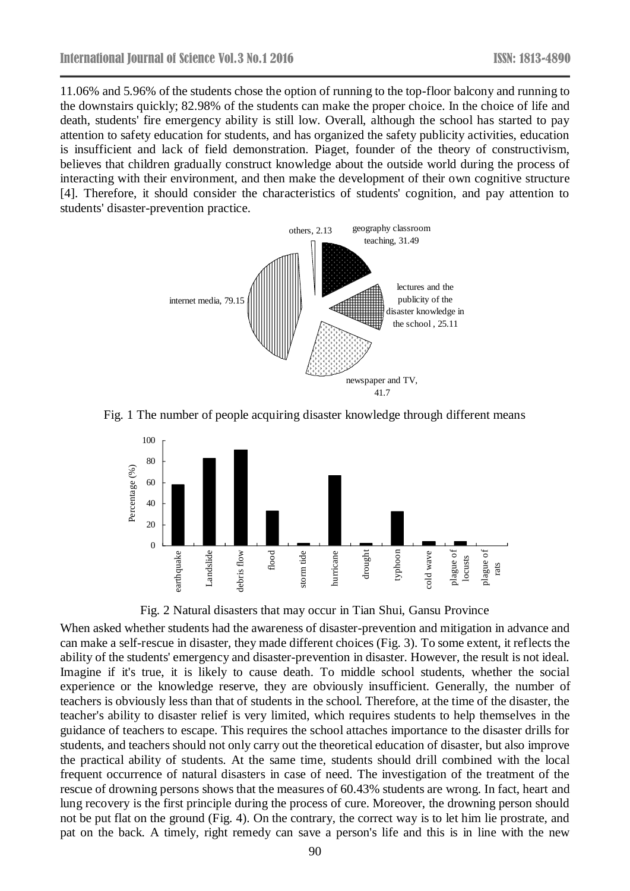11.06% and 5.96% of the students chose the option of running to the top-floor balcony and running to the downstairs quickly; 82.98% of the students can make the proper choice. In the choice of life and death, students' fire emergency ability is still low. Overall, although the school has started to pay attention to safety education for students, and has organized the safety publicity activities, education is insufficient and lack of field demonstration. Piaget, founder of the theory of constructivism, believes that children gradually construct knowledge about the outside world during the process of interacting with their environment, and then make the development of their own cognitive structure [4]. Therefore, it should consider the characteristics of students' cognition, and pay attention to students' disaster-prevention practice.



Fig. 1 The number of people acquiring disaster knowledge through different means



Fig. 2 Natural disasters that may occur in Tian Shui, Gansu Province

When asked whether students had the awareness of disaster-prevention and mitigation in advance and can make a self-rescue in disaster, they made different choices (Fig. 3). To some extent, it reflects the ability of the students' emergency and disaster-prevention in disaster. However, the result is not ideal. Imagine if it's true, it is likely to cause death. To middle school students, whether the social experience or the knowledge reserve, they are obviously insufficient. Generally, the number of teachers is obviously less than that of students in the school. Therefore, at the time of the disaster, the teacher's ability to disaster relief is very limited, which requires students to help themselves in the guidance of teachers to escape. This requires the school attaches importance to the disaster drills for students, and teachers should not only carry out the theoretical education of disaster, but also improve the practical ability of students. At the same time, students should drill combined with the local frequent occurrence of natural disasters in case of need. The investigation of the treatment of the rescue of drowning persons shows that the measures of 60.43% students are wrong. In fact, heart and lung recovery is the first principle during the process of cure. Moreover, the drowning person should not be put flat on the ground (Fig. 4). On the contrary, the correct way is to let him lie prostrate, and pat on the back. A timely, right remedy can save a person's life and this is in line with the new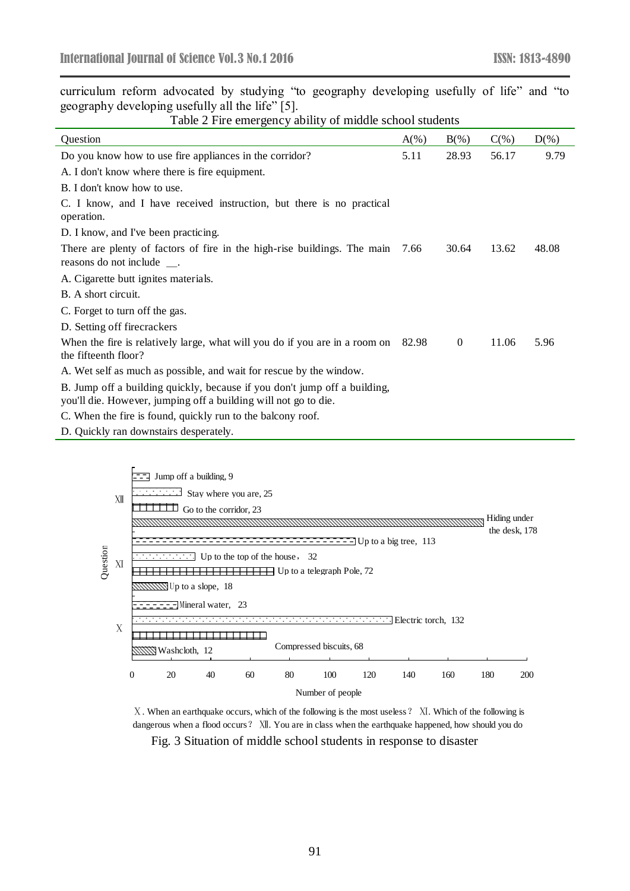curriculum reform advocated by studying "to geography developing usefully of life" and "to geography developing usefully all the life" [5].

Table 2 Fire emergency ability of middle school students

| <b>Ouestion</b>                                                                                                                              | $A(\%)$ | $B(\%)$        | $C(\%)$ | $D(\%)$ |
|----------------------------------------------------------------------------------------------------------------------------------------------|---------|----------------|---------|---------|
| Do you know how to use fire appliances in the corridor?                                                                                      | 5.11    | 28.93          | 56.17   | 9.79    |
| A. I don't know where there is fire equipment.                                                                                               |         |                |         |         |
| B. I don't know how to use.                                                                                                                  |         |                |         |         |
| C. I know, and I have received instruction, but there is no practical<br>operation.                                                          |         |                |         |         |
| D. I know, and I've been practicing.                                                                                                         |         |                |         |         |
| There are plenty of factors of fire in the high-rise buildings. The main<br>reasons do not include __.                                       | 7.66    | 30.64          | 13.62   | 48.08   |
| A. Cigarette butt ignites materials.                                                                                                         |         |                |         |         |
| B. A short circuit.                                                                                                                          |         |                |         |         |
| C. Forget to turn off the gas.                                                                                                               |         |                |         |         |
| D. Setting off firecrackers                                                                                                                  |         |                |         |         |
| When the fire is relatively large, what will you do if you are in a room on<br>the fifteenth floor?                                          | 82.98   | $\overline{0}$ | 11.06   | 5.96    |
| A. Wet self as much as possible, and wait for rescue by the window.                                                                          |         |                |         |         |
| B. Jump off a building quickly, because if you don't jump off a building,<br>you'll die. However, jumping off a building will not go to die. |         |                |         |         |
| C. When the fire is found, quickly run to the balcony roof.                                                                                  |         |                |         |         |
| D. Quickly ran downstairs desperately.                                                                                                       |         |                |         |         |



Ⅹ. When an earthquake occurs, which of the following is the most useless? Ⅺ. Which of the following is dangerous when a flood occurs? XII. You are in class when the earthquake happened, how should you do

Fig. 3 Situation of middle school students in response to disaster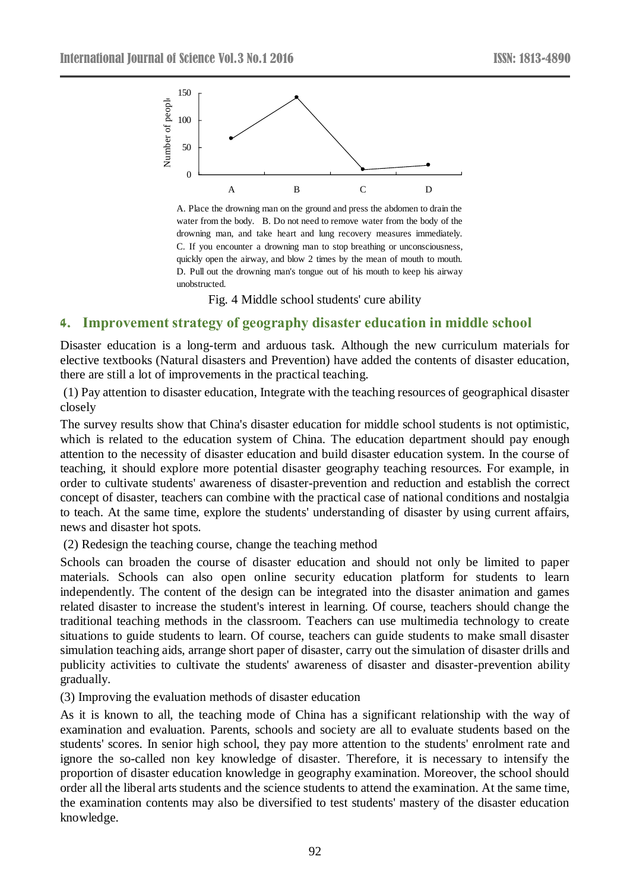

A. Place the drowning man on the ground and press the abdomen to drain the water from the body. B. Do not need to remove water from the body of the drowning man, and take heart and lung recovery measures immediately. C. If you encounter <sup>a</sup> drowning man to stop breathing or unconsciousness, quickly open the airway, and blow 2 times by the mean of mouth to mouth. D. Pull out the drowning man's tongue out of his mouth to keep his airway unobstructed.

Fig. 4 Middle school students' cure ability

### **4. Improvement strategy of geography disaster education in middle school**

Disaster education is a long-term and arduous task. Although the new curriculum materials for elective textbooks (Natural disasters and Prevention) have added the contents of disaster education, there are still a lot of improvements in the practical teaching.

(1) Pay attention to disaster education, Integrate with the teaching resources of geographical disaster closely

The survey results show that China's disaster education for middle school students is not optimistic, which is related to the education system of China. The education department should pay enough attention to the necessity of disaster education and build disaster education system. In the course of teaching, it should explore more potential disaster geography teaching resources. For example, in order to cultivate students' awareness of disaster-prevention and reduction and establish the correct concept of disaster, teachers can combine with the practical case of national conditions and nostalgia to teach. At the same time, explore the students' understanding of disaster by using current affairs, news and disaster hot spots.

#### (2) Redesign the teaching course, change the teaching method

A<br>
B<br>
Place the drowning man on the grouter<br>
ther from the body. B. Do not need<br>
wwning man, and take heart and 1<br>
If you encounter a drowning man<br>
EV of people of a drowning man's tongue<br>
Fig. 4 Middle school s<br> **Categy o** Schools can broaden the course of disaster education and should not only be limited to paper materials. Schools can also open online security education platform for students to learn independently. The content of the design can be integrated into the disaster animation and games related disaster to increase the student's interest in learning. Of course, teachers should change the traditional teaching methods in the classroom. Teachers can use multimedia technology to create situations to guide students to learn. Of course, teachers can guide students to make small disaster simulation teaching aids, arrange short paper of disaster, carry out the simulation of disaster drills and publicity activities to cultivate the students' awareness of disaster and disaster-prevention ability gradually.

(3) Improving the evaluation methods of disaster education

As it is known to all, the teaching mode of China has a significant relationship with the way of examination and evaluation. Parents, schools and society are all to evaluate students based on the students' scores. In senior high school, they pay more attention to the students' enrolment rate and ignore the so-called non key knowledge of disaster. Therefore, it is necessary to intensify the proportion of disaster education knowledge in geography examination. Moreover, the school should order all the liberal arts students and the science students to attend the examination. At the same time, the examination contents may also be diversified to test students' mastery of the disaster education knowledge.